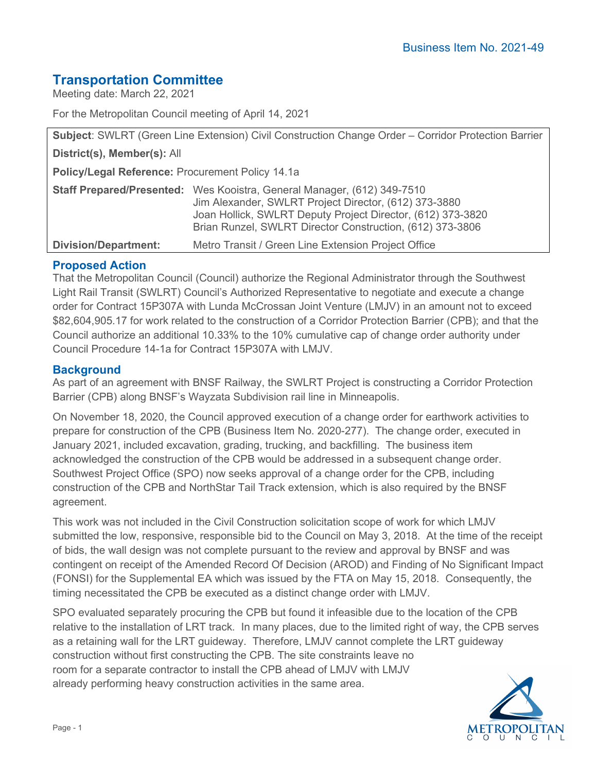# **Transportation Committee**

Meeting date: March 22, 2021

For the Metropolitan Council meeting of April 14, 2021

| <b>Subject: SWLRT (Green Line Extension) Civil Construction Change Order – Corridor Protection Barrier</b> |                                                                                                                                                                                                                                                              |  |  |
|------------------------------------------------------------------------------------------------------------|--------------------------------------------------------------------------------------------------------------------------------------------------------------------------------------------------------------------------------------------------------------|--|--|
| District(s), Member(s): All                                                                                |                                                                                                                                                                                                                                                              |  |  |
| <b>Policy/Legal Reference: Procurement Policy 14.1a</b>                                                    |                                                                                                                                                                                                                                                              |  |  |
|                                                                                                            | Staff Prepared/Presented: Wes Kooistra, General Manager, (612) 349-7510<br>Jim Alexander, SWLRT Project Director, (612) 373-3880<br>Joan Hollick, SWLRT Deputy Project Director, (612) 373-3820<br>Brian Runzel, SWLRT Director Construction, (612) 373-3806 |  |  |
| <b>Division/Department:</b>                                                                                | Metro Transit / Green Line Extension Project Office                                                                                                                                                                                                          |  |  |

#### **Proposed Action**

That the Metropolitan Council (Council) authorize the Regional Administrator through the Southwest Light Rail Transit (SWLRT) Council's Authorized Representative to negotiate and execute a change order for Contract 15P307A with Lunda McCrossan Joint Venture (LMJV) in an amount not to exceed \$82,604,905.17 for work related to the construction of a Corridor Protection Barrier (CPB); and that the Council authorize an additional 10.33% to the 10% cumulative cap of change order authority under Council Procedure 14-1a for Contract 15P307A with LMJV.

#### **Background**

As part of an agreement with BNSF Railway, the SWLRT Project is constructing a Corridor Protection Barrier (CPB) along BNSF's Wayzata Subdivision rail line in Minneapolis.

On November 18, 2020, the Council approved execution of a change order for earthwork activities to prepare for construction of the CPB (Business Item No. 2020-277). The change order, executed in January 2021, included excavation, grading, trucking, and backfilling. The business item acknowledged the construction of the CPB would be addressed in a subsequent change order. Southwest Project Office (SPO) now seeks approval of a change order for the CPB, including construction of the CPB and NorthStar Tail Track extension, which is also required by the BNSF agreement.

This work was not included in the Civil Construction solicitation scope of work for which LMJV submitted the low, responsive, responsible bid to the Council on May 3, 2018. At the time of the receipt of bids, the wall design was not complete pursuant to the review and approval by BNSF and was contingent on receipt of the Amended Record Of Decision (AROD) and Finding of No Significant Impact (FONSI) for the Supplemental EA which was issued by the FTA on May 15, 2018. Consequently, the timing necessitated the CPB be executed as a distinct change order with LMJV.

SPO evaluated separately procuring the CPB but found it infeasible due to the location of the CPB relative to the installation of LRT track. In many places, due to the limited right of way, the CPB serves as a retaining wall for the LRT guideway. Therefore, LMJV cannot complete the LRT guideway construction without first constructing the CPB. The site constraints leave no room for a separate contractor to install the CPB ahead of LMJV with LMJV already performing heavy construction activities in the same area.